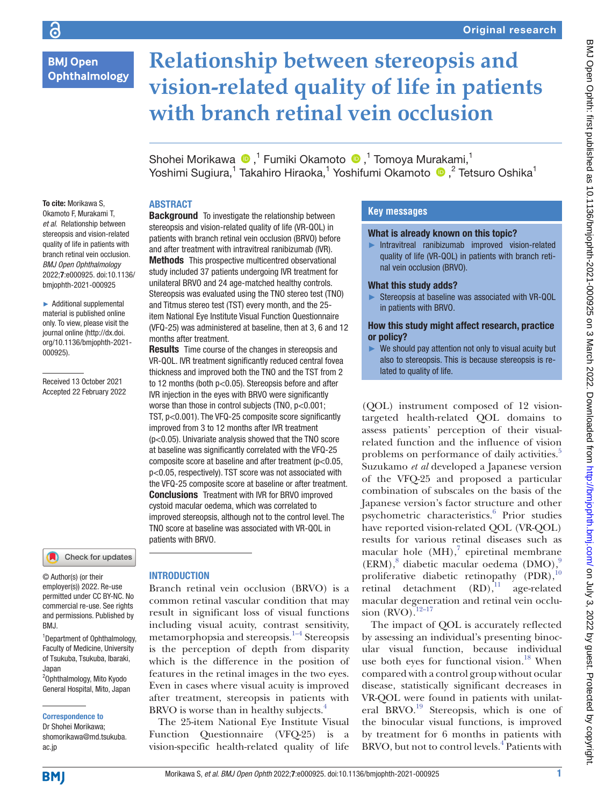# **BMJ Open** Ophthalmology

# **Relationship between stereopsis and vision-related quality of life in patients with branch retinal vein occlusion**

Shohei Morikawa <sup>n 1</sup> Fumiki Okamoto n <sup>1</sup> Tomoya Murakami,<sup>1</sup> Yoshimi Sugiura,<sup>1</sup> Takahiro Hiraoka,<sup>1</sup> Yoshifumi Okamoto (D,<sup>2</sup> Tetsuro Oshika<sup>1</sup>

## ABSTRACT

To cite: Morikawa S, Okamoto F, Murakami T, *et al*. Relationship between stereopsis and vision-related quality of life in patients with branch retinal vein occlusion. *BMJ Open Ophthalmology* 2022;7:e000925. doi:10.1136/ bmjophth-2021-000925

► Additional supplemental material is published online only. To view, please visit the journal online ([http://dx.doi.](http://dx.doi.org/10.1136/bmjophth-2021-000925) [org/10.1136/bmjophth-2021-](http://dx.doi.org/10.1136/bmjophth-2021-000925) [000925](http://dx.doi.org/10.1136/bmjophth-2021-000925)).

Received 13 October 2021 Accepted 22 February 2022



© Author(s) (or their employer(s)) 2022. Re-use permitted under CC BY-NC. No commercial re-use. See rights and permissions. Published by BMJ.

<sup>1</sup>Department of Ophthalmology, Faculty of Medicine, University of Tsukuba, Tsukuba, Ibaraki, Japan

2 Ophthalmology, Mito Kyodo General Hospital, Mito, Japan

#### Correspondence to

Dr Shohei Morikawa; shomorikawa@md.tsukuba. ac.jp

**Background** To investigate the relationship between stereopsis and vision-related quality of life (VR-QOL) in patients with branch retinal vein occlusion (BRVO) before and after treatment with intravitreal ranibizumab (IVR). Methods This prospective multicentred observational study included 37 patients undergoing IVR treatment for unilateral BRVO and 24 age-matched healthy controls. Stereopsis was evaluated using the TNO stereo test (TNO) and Titmus stereo test (TST) every month, and the 25 item National Eye Institute Visual Function Questionnaire (VFQ-25) was administered at baseline, then at 3, 6 and 12 months after treatment.

**Results** Time course of the changes in stereopsis and VR-QOL. IVR treatment significantly reduced central fovea thickness and improved both the TNO and the TST from 2 to 12 months (both p<0.05). Stereopsis before and after IVR injection in the eyes with BRVO were significantly worse than those in control subjects (TNO,  $p<0.001$ ; TST, p<0.001). The VFQ-25 composite score significantly improved from 3 to 12 months after IVR treatment (p<0.05). Univariate analysis showed that the TNO score at baseline was significantly correlated with the VFQ-25 composite score at baseline and after treatment (p<0.05, p<0.05, respectively). TST score was not associated with the VFQ-25 composite score at baseline or after treatment. Conclusions Treatment with IVR for BRVO improved cystoid macular oedema, which was correlated to improved stereopsis, although not to the control level. The TNO score at baseline was associated with VR-QOL in patients with BRVO.

#### INTRODUCTION

Branch retinal vein occlusion (BRVO) is a common retinal vascular condition that may result in significant loss of visual functions including visual acuity, contrast sensitivity, metamorphopsia and stereopsis. $1-4$  Stereopsis is the perception of depth from disparity which is the difference in the position of features in the retinal images in the two eyes. Even in cases where visual acuity is improved after treatment, stereopsis in patients with BRVO is worse than in healthy subjects. $4$ 

The 25-item National Eye Institute Visual Function Questionnaire (VFQ-25) is a vision-specific health-related quality of life

## **Key messages**

#### What is already known on this topic?

► Intravitreal ranibizumab improved vision-related quality of life (VR-QOL) in patients with branch retinal vein occlusion (BRVO).

#### What this study adds?

► Stereopsis at baseline was associated with VR-QOL in patients with BRVO.

#### How this study might affect research, practice or policy?

 $\blacktriangleright$  We should pay attention not only to visual acuity but also to stereopsis. This is because stereopsis is related to quality of life.

(QOL) instrument composed of 12 visiontargeted health-related QOL domains to assess patients' perception of their visualrelated function and the influence of vision problems on performance of daily activities.<sup>[5](#page-5-2)</sup> Suzukamo *et al* developed a Japanese version of the VFQ-25 and proposed a particular combination of subscales on the basis of the Japanese version's factor structure and other psychometric characteristics.<sup>[6](#page-5-3)</sup> Prior studies have reported vision-related QOL (VR-QOL) results for various retinal diseases such as macular hole  $(MH)$ ,<sup>[7](#page-5-4)</sup> epiretinal membrane (ERM),<sup>[8](#page-5-5)</sup> diabetic macular oedema (DMO),<sup>[9](#page-5-6)</sup> proliferative diabetic retinopathy (PDR),<sup>[10](#page-6-0)</sup> retinal detachment  $(RD)$ ,<sup>[11](#page-6-1)</sup> age-related macular degeneration and retinal vein occlusion  $(RVO)$ .<sup>12–17</sup>

The impact of QOL is accurately reflected by assessing an individual's presenting binocular visual function, because individual use both eyes for functional vision. $18$  When compared with a control group without ocular disease, statistically significant decreases in VR-QOL were found in patients with unilat-eral BRVO.<sup>[19](#page-6-4)</sup> Stereopsis, which is one of the binocular visual functions, is improved by treatment for 6 months in patients with BRVO, but not to control levels.<sup>[4](#page-5-1)</sup> Patients with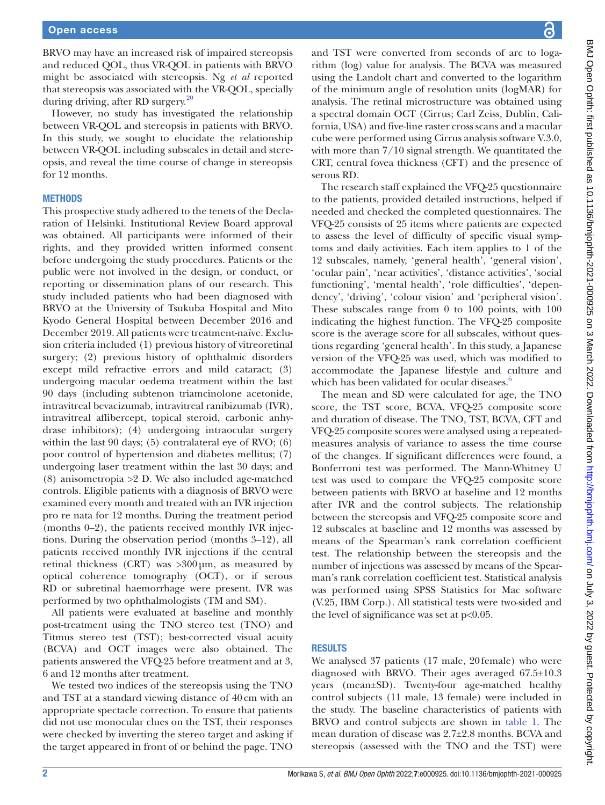BRVO may have an increased risk of impaired stereopsis and reduced QOL, thus VR-QOL in patients with BRVO might be associated with stereopsis. Ng *et al* reported that stereopsis was associated with the VR-QOL, specially during driving, after RD surgery.[20](#page-6-5)

However, no study has investigated the relationship between VR-QOL and stereopsis in patients with BRVO. In this study, we sought to elucidate the relationship between VR-QOL including subscales in detail and stereopsis, and reveal the time course of change in stereopsis for 12 months.

#### **METHODS**

This prospective study adhered to the tenets of the Declaration of Helsinki. Institutional Review Board approval was obtained. All participants were informed of their rights, and they provided written informed consent before undergoing the study procedures. Patients or the public were not involved in the design, or conduct, or reporting or dissemination plans of our research. This study included patients who had been diagnosed with BRVO at the University of Tsukuba Hospital and Mito Kyodo General Hospital between December 2016 and December 2019. All patients were treatment-naïve. Exclusion criteria included (1) previous history of vitreoretinal surgery; (2) previous history of ophthalmic disorders except mild refractive errors and mild cataract; (3) undergoing macular oedema treatment within the last 90 days (including subtenon triamcinolone acetonide, intravitreal bevacizumab, intravitreal ranibizumab (IVR), intravitreal aflibercept, topical steroid, carbonic anhydrase inhibitors); (4) undergoing intraocular surgery within the last 90 days; (5) contralateral eye of RVO; (6) poor control of hypertension and diabetes mellitus; (7) undergoing laser treatment within the last 30 days; and (8) anisometropia >2 D. We also included age-matched controls. Eligible patients with a diagnosis of BRVO were examined every month and treated with an IVR injection pro re nata for 12 months. During the treatment period (months 0–2), the patients received monthly IVR injections. During the observation period (months 3–12), all patients received monthly IVR injections if the central retinal thickness (CRT) was >300µm, as measured by optical coherence tomography (OCT), or if serous RD or subretinal haemorrhage were present. IVR was performed by two ophthalmologists (TM and SM).

All patients were evaluated at baseline and monthly post-treatment using the TNO stereo test (TNO) and Titmus stereo test (TST); best-corrected visual acuity (BCVA) and OCT images were also obtained. The patients answered the VFQ-25 before treatment and at 3, 6 and 12 months after treatment.

We tested two indices of the stereopsis using the TNO and TST at a standard viewing distance of 40cm with an appropriate spectacle correction. To ensure that patients did not use monocular clues on the TST, their responses were checked by inverting the stereo target and asking if the target appeared in front of or behind the page. TNO

and TST were converted from seconds of arc to logarithm (log) value for analysis. The BCVA was measured using the Landolt chart and converted to the logarithm of the minimum angle of resolution units (logMAR) for analysis. The retinal microstructure was obtained using a spectral domain OCT (Cirrus; Carl Zeiss, Dublin, California, USA) and five-line raster cross scans and a macular cube were performed using Cirrus analysis software V.3.0, with more than 7/10 signal strength. We quantitated the CRT, central fovea thickness (CFT) and the presence of serous RD.

The research staff explained the VFQ-25 questionnaire to the patients, provided detailed instructions, helped if needed and checked the completed questionnaires. The VFQ-25 consists of 25 items where patients are expected to assess the level of difficulty of specific visual symptoms and daily activities. Each item applies to 1 of the 12 subscales, namely, 'general health', 'general vision', 'ocular pain', 'near activities', 'distance activities', 'social functioning', 'mental health', 'role difficulties', 'dependency', 'driving', 'colour vision' and 'peripheral vision'. These subscales range from 0 to 100 points, with 100 indicating the highest function. The VFQ-25 composite score is the average score for all subscales, without questions regarding 'general health'. In this study, a Japanese version of the VFQ-25 was used, which was modified to accommodate the Japanese lifestyle and culture and which has been validated for ocular diseases.<sup>[6](#page-5-3)</sup>

The mean and SD were calculated for age, the TNO score, the TST score, BCVA, VFQ-25 composite score and duration of disease. The TNO, TST, BCVA, CFT and VFQ-25 composite scores were analysed using a repeatedmeasures analysis of variance to assess the time course of the changes. If significant differences were found, a Bonferroni test was performed. The Mann-Whitney U test was used to compare the VFQ-25 composite score between patients with BRVO at baseline and 12 months after IVR and the control subjects. The relationship between the stereopsis and VFQ-25 composite score and 12 subscales at baseline and 12 months was assessed by means of the Spearman's rank correlation coefficient test. The relationship between the stereopsis and the number of injections was assessed by means of the Spearman's rank correlation coefficient test. Statistical analysis was performed using SPSS Statistics for Mac software (V.25, IBM Corp.). All statistical tests were two-sided and the level of significance was set at p<0.05.

#### RESULTS

We analysed 37 patients (17 male, 20female) who were diagnosed with BRVO. Their ages averaged 67.5±10.3 years (mean±SD). Twenty-four age-matched healthy control subjects (11 male, 13 female) were included in the study. The baseline characteristics of patients with BRVO and control subjects are shown in [table](#page-2-0) 1. The mean duration of disease was 2.7±2.8 months. BCVA and stereopsis (assessed with the TNO and the TST) were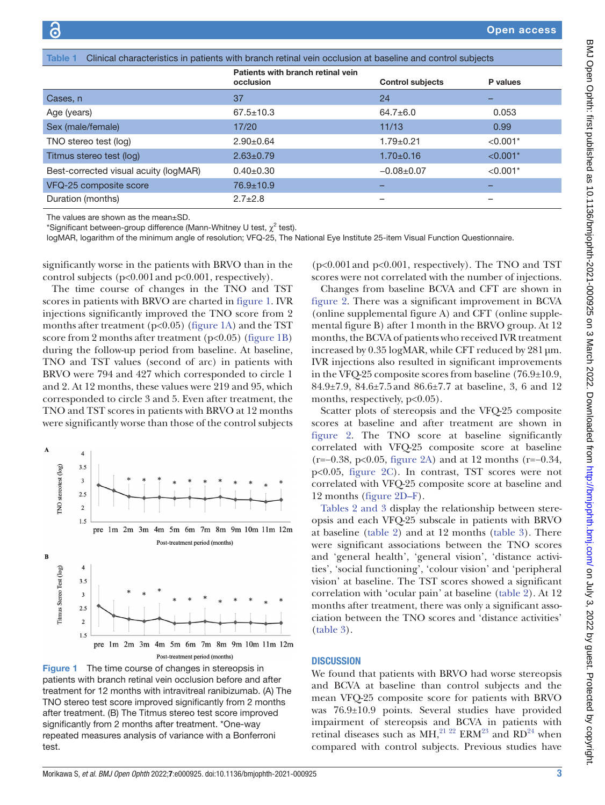<span id="page-2-0"></span>

| Clinical characteristics in patients with branch retinal vein occlusion at baseline and control subjects<br><b>Table 1</b> |                                                |                         |            |  |  |  |  |
|----------------------------------------------------------------------------------------------------------------------------|------------------------------------------------|-------------------------|------------|--|--|--|--|
|                                                                                                                            | Patients with branch retinal vein<br>occlusion | <b>Control subjects</b> | P values   |  |  |  |  |
| Cases, n                                                                                                                   | 37                                             | 24                      | -          |  |  |  |  |
| Age (years)                                                                                                                | $67.5 \pm 10.3$                                | $64.7 \pm 6.0$          | 0.053      |  |  |  |  |
| Sex (male/female)                                                                                                          | 17/20                                          | 11/13                   | 0.99       |  |  |  |  |
| TNO stereo test (log)                                                                                                      | $2.90+0.64$                                    | $1.79 + 0.21$           | $< 0.001*$ |  |  |  |  |
| Titmus stereo test (log)                                                                                                   | $2.63 \pm 0.79$                                | $1.70 \pm 0.16$         | $< 0.001*$ |  |  |  |  |
| Best-corrected visual acuity (logMAR)                                                                                      | $0.40+0.30$                                    | $-0.08 + 0.07$          | $< 0.001*$ |  |  |  |  |
| VFQ-25 composite score                                                                                                     | $76.9 \pm 10.9$                                |                         |            |  |  |  |  |
| Duration (months)                                                                                                          | $2.7 \pm 2.8$                                  | -                       | -          |  |  |  |  |

The values are shown as the mean±SD.

\*Significant between-group difference (Mann-Whitney U test,  $\chi^2$  test).

logMAR, logarithm of the minimum angle of resolution; VFQ-25, The National Eye Institute 25-item Visual Function Questionnaire.

significantly worse in the patients with BRVO than in the control subjects (p<0.001and p<0.001, respectively).

The time course of changes in the TNO and TST scores in patients with BRVO are charted in [figure](#page-2-1) 1. IVR injections significantly improved the TNO score from 2 months after treatment ( $p<0.05$ ) ([figure](#page-2-1) 1A) and the TST score from 2 months after treatment  $(p<0.05)$  [\(figure](#page-2-1) 1B) during the follow-up period from baseline. At baseline, TNO and TST values (second of arc) in patients with BRVO were 794 and 427 which corresponded to circle 1 and 2. At 12 months, these values were 219 and 95, which corresponded to circle 3 and 5. Even after treatment, the TNO and TST scores in patients with BRVO at 12 months were significantly worse than those of the control subjects



<span id="page-2-1"></span>Figure 1 The time course of changes in stereopsis in patients with branch retinal vein occlusion before and after treatment for 12 months with intravitreal ranibizumab. (A) The TNO stereo test score improved significantly from 2 months after treatment. (B) The Titmus stereo test score improved significantly from 2 months after treatment. \*One-way repeated measures analysis of variance with a Bonferroni test.

(p<0.001and p<0.001, respectively). The TNO and TST scores were not correlated with the number of injections.

Changes from baseline BCVA and CFT are shown in [figure](#page-3-0) 2. There was a significant improvement in BCVA [\(online supplemental figure A](https://dx.doi.org/10.1136/bmjophth-2021-000925)) and CFT [\(online supple](https://dx.doi.org/10.1136/bmjophth-2021-000925)[mental figure B](https://dx.doi.org/10.1136/bmjophth-2021-000925)) after 1month in the BRVO group. At 12 months, the BCVA of patients who received IVR treatment increased by 0.35 logMAR, while CFT reduced by 281µm. IVR injections also resulted in significant improvements in the VFQ-25 composite scores from baseline (76.9±10.9, 84.9±7.9, 84.6±7.5and 86.6±7.7 at baseline, 3, 6 and 12 months, respectively,  $p<0.05$ ).

Scatter plots of stereopsis and the VFQ-25 composite scores at baseline and after treatment are shown in [figure](#page-3-0) 2. The TNO score at baseline significantly correlated with VFQ-25 composite score at baseline (r=−0.38, p<0.05, [figure](#page-3-0) 2A) and at 12 months (r=−0.34, p<0.05, [figure](#page-3-0) 2C). In contrast, TST scores were not correlated with VFQ-25 composite score at baseline and 12 months ([figure](#page-3-0) 2D–F).

Tables [2 and 3](#page-4-0) display the relationship between stereopsis and each VFQ-25 subscale in patients with BRVO at baseline ([table](#page-4-0) 2) and at 12 months [\(table](#page-4-1) 3). There were significant associations between the TNO scores and 'general health', 'general vision', 'distance activities', 'social functioning', 'colour vision' and 'peripheral vision' at baseline. The TST scores showed a significant correlation with 'ocular pain' at baseline [\(table](#page-4-0) 2). At 12 months after treatment, there was only a significant association between the TNO scores and 'distance activities' [\(table](#page-4-1) 3).

#### **DISCUSSION**

We found that patients with BRVO had worse stereopsis and BCVA at baseline than control subjects and the mean VFQ-25 composite score for patients with BRVO was 76.9±10.9 points. Several studies have provided impairment of stereopsis and BCVA in patients with retinal diseases such as  $MH$ ,<sup>21 22</sup> ERM<sup>23</sup> and RD<sup>24</sup> when compared with control subjects. Previous studies have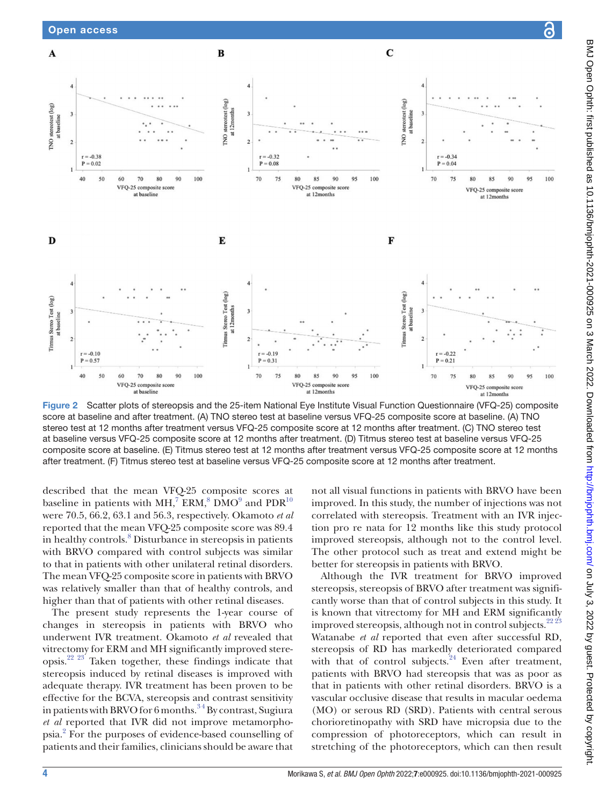

<span id="page-3-0"></span>Figure 2 Scatter plots of stereopsis and the 25-item National Eye Institute Visual Function Questionnaire (VFQ-25) composite score at baseline and after treatment. (A) TNO stereo test at baseline versus VFQ-25 composite score at baseline. (A) TNO stereo test at 12 months after treatment versus VFQ-25 composite score at 12 months after treatment. (C) TNO stereo test at baseline versus VFQ-25 composite score at 12 months after treatment. (D) Titmus stereo test at baseline versus VFQ-25 composite score at baseline. (E) Titmus stereo test at 12 months after treatment versus VFQ-25 composite score at 12 months after treatment. (F) Titmus stereo test at baseline versus VFQ-25 composite score at 12 months after treatment.

described that the mean VFQ-25 composite scores at baseline in patients with MH,<sup>7</sup> ERM,<sup>[8](#page-5-5)</sup> DMO<sup>[9](#page-5-6)</sup> and PDR<sup>10</sup> were 70.5, 66.2, 63.1 and 56.3, respectively. Okamoto *et al* reported that the mean VFQ-25 composite score was 89.4 in healthy controls.<sup>[8](#page-5-5)</sup> Disturbance in stereopsis in patients with BRVO compared with control subjects was similar to that in patients with other unilateral retinal disorders. The mean VFQ-25 composite score in patients with BRVO was relatively smaller than that of healthy controls, and higher than that of patients with other retinal diseases.

The present study represents the 1-year course of changes in stereopsis in patients with BRVO who underwent IVR treatment. Okamoto *et al* revealed that vitrectomy for ERM and MH significantly improved stereopsis.<sup>22 23</sup> Taken together, these findings indicate that stereopsis induced by retinal diseases is improved with adequate therapy. IVR treatment has been proven to be effective for the BCVA, stereopsis and contrast sensitivity in patients with BRVO for 6 months.<sup>34</sup> By contrast, Sugiura *et al* reported that IVR did not improve metamorphopsia.[2](#page-5-8) For the purposes of evidence-based counselling of patients and their families, clinicians should be aware that

not all visual functions in patients with BRVO have been improved. In this study, the number of injections was not correlated with stereopsis. Treatment with an IVR injection pro re nata for 12 months like this study protocol improved stereopsis, although not to the control level. The other protocol such as treat and extend might be better for stereopsis in patients with BRVO.

Although the IVR treatment for BRVO improved stereopsis, stereopsis of BRVO after treatment was significantly worse than that of control subjects in this study. It is known that vitrectomy for MH and ERM significantly improved stereopsis, although not in control subjects. $2223$ Watanabe *et al* reported that even after successful RD, stereopsis of RD has markedly deteriorated compared with that of control subjects. $24$  Even after treatment, patients with BRVO had stereopsis that was as poor as that in patients with other retinal disorders. BRVO is a vascular occlusive disease that results in macular oedema (MO) or serous RD (SRD). Patients with central serous chorioretinopathy with SRD have micropsia due to the compression of photoreceptors, which can result in stretching of the photoreceptors, which can then result

<u>යි</u>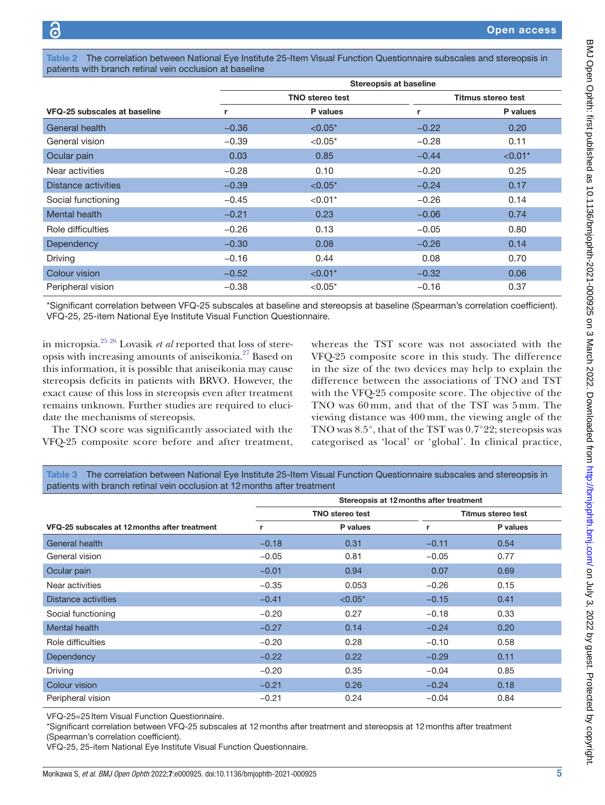<span id="page-4-0"></span>Table 2 The correlation between National Eye Institute 25-Item Visual Function Questionnaire subscales and stereopsis in patients with branch retinal vein occlusion at baseline

|                              |         | <b>Stereopsis at baseline</b> |         |                    |  |  |
|------------------------------|---------|-------------------------------|---------|--------------------|--|--|
|                              |         | <b>TNO</b> stereo test        |         | Titmus stereo test |  |  |
| VFQ-25 subscales at baseline | r       | P values                      | r       | P values           |  |  |
| General health               | $-0.36$ | $< 0.05*$                     | $-0.22$ | 0.20               |  |  |
| General vision               | $-0.39$ | ${<}0.05*$                    | $-0.28$ | 0.11               |  |  |
| Ocular pain                  | 0.03    | 0.85                          | $-0.44$ | $< 0.01*$          |  |  |
| Near activities              | $-0.28$ | 0.10                          | $-0.20$ | 0.25               |  |  |
| Distance activities          | $-0.39$ | $< 0.05*$                     | $-0.24$ | 0.17               |  |  |
| Social functioning           | $-0.45$ | $< 0.01*$                     | $-0.26$ | 0.14               |  |  |
| Mental health                | $-0.21$ | 0.23                          | $-0.06$ | 0.74               |  |  |
| Role difficulties            | $-0.26$ | 0.13                          | $-0.05$ | 0.80               |  |  |
| Dependency                   | $-0.30$ | 0.08                          | $-0.26$ | 0.14               |  |  |
| Driving                      | $-0.16$ | 0.44                          | 0.08    | 0.70               |  |  |
| Colour vision                | $-0.52$ | $< 0.01*$                     | $-0.32$ | 0.06               |  |  |
| Peripheral vision            | $-0.38$ | $< 0.05*$                     | $-0.16$ | 0.37               |  |  |

\*Significant correlation between VFQ-25 subscales at baseline and stereopsis at baseline (Spearman's correlation coefficient). VFQ-25, 25-item National Eye Institute Visual Function Questionnaire.

in micropsia.[25 26](#page-6-10) Lovasik *et al* reported that loss of stereopsis with increasing amounts of aniseikonia.[27](#page-6-11) Based on this information, it is possible that aniseikonia may cause stereopsis deficits in patients with BRVO. However, the exact cause of this loss in stereopsis even after treatment remains unknown. Further studies are required to elucidate the mechanisms of stereopsis.

The TNO score was significantly associated with the VFQ-25 composite score before and after treatment,

whereas the TST score was not associated with the VFQ-25 composite score in this study. The difference in the size of the two devices may help to explain the difference between the associations of TNO and TST with the VFQ-25 composite score. The objective of the TNO was 60 mm, and that of the TST was 5 mm. The viewing distance was 400 mm, the viewing angle of the TNO was 8.5°, that of the TST was 0.7°22; stereopsis was categorised as 'local' or 'global'. In clinical practice,

<span id="page-4-1"></span>Table 3 The correlation between National Eye Institute 25-Item Visual Function Questionnaire subscales and stereopsis in patients with branch retinal vein occlusion at 12months after treatment

|                                               | Stereopsis at 12 months after treatment |           |                    |          |
|-----------------------------------------------|-----------------------------------------|-----------|--------------------|----------|
|                                               | <b>TNO stereo test</b>                  |           | Titmus stereo test |          |
| VFQ-25 subscales at 12 months after treatment | r                                       | P values  | r                  | P values |
| General health                                | $-0.18$                                 | 0.31      | $-0.11$            | 0.54     |
| General vision                                | $-0.05$                                 | 0.81      | $-0.05$            | 0.77     |
| Ocular pain                                   | $-0.01$                                 | 0.94      | 0.07               | 0.69     |
| Near activities                               | $-0.35$                                 | 0.053     | $-0.26$            | 0.15     |
| <b>Distance activities</b>                    | $-0.41$                                 | $< 0.05*$ | $-0.15$            | 0.41     |
| Social functioning                            | $-0.20$                                 | 0.27      | $-0.18$            | 0.33     |
| Mental health                                 | $-0.27$                                 | 0.14      | $-0.24$            | 0.20     |
| Role difficulties                             | $-0.20$                                 | 0.28      | $-0.10$            | 0.58     |
| <b>Dependency</b>                             | $-0.22$                                 | 0.22      | $-0.29$            | 0.11     |
| Driving                                       | $-0.20$                                 | 0.35      | $-0.04$            | 0.85     |
| Colour vision                                 | $-0.21$                                 | 0.26      | $-0.24$            | 0.18     |
| Peripheral vision                             | $-0.21$                                 | 0.24      | $-0.04$            | 0.84     |

VFQ-25=25 Item Visual Function Questionnaire.

\*Significant correlation between VFQ-25 subscales at 12months after treatment and stereopsis at 12months after treatment (Spearman's correlation coefficient).

VFQ-25, 25-item National Eye Institute Visual Function Questionnaire.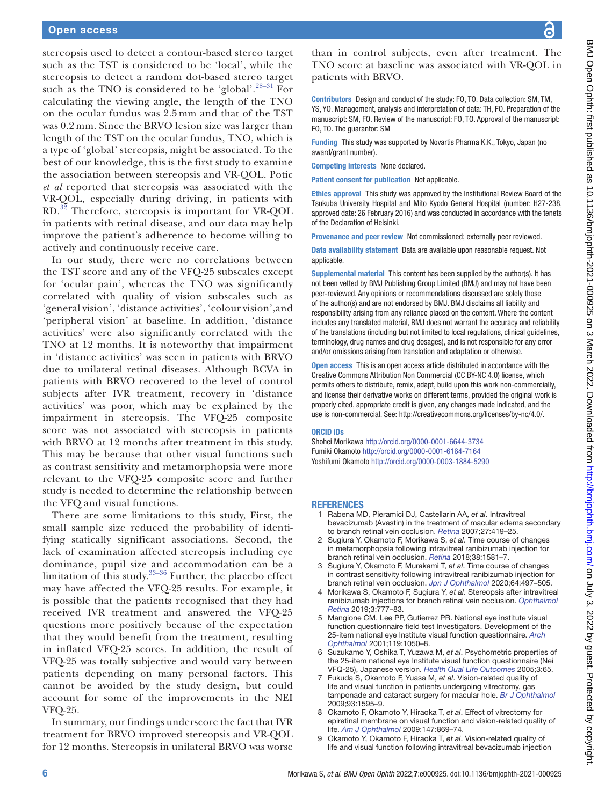stereopsis used to detect a contour-based stereo target such as the TST is considered to be 'local', while the stereopsis to detect a random dot-based stereo target such as the TNO is considered to be 'global'.<sup>[28–31](#page-6-12)</sup> For calculating the viewing angle, the length of the TNO on the ocular fundus was 2.5 mm and that of the TST was 0.2 mm. Since the BRVO lesion size was larger than length of the TST on the ocular fundus, TNO, which is a type of 'global' stereopsis, might be associated. To the best of our knowledge, this is the first study to examine the association between stereopsis and VR-QOL. Potic *et al* reported that stereopsis was associated with the VR-QOL, especially during driving, in patients with RD.[32](#page-6-13) Therefore, stereopsis is important for VR-QOL in patients with retinal disease, and our data may help improve the patient's adherence to become willing to actively and continuously receive care.

In our study, there were no correlations between the TST score and any of the VFQ-25 subscales except for 'ocular pain', whereas the TNO was significantly correlated with quality of vision subscales such as 'general vision', 'distance activities', 'colour vision',and 'peripheral vision' at baseline. In addition, 'distance activities' were also significantly correlated with the TNO at 12 months. It is noteworthy that impairment in 'distance activities' was seen in patients with BRVO due to unilateral retinal diseases. Although BCVA in patients with BRVO recovered to the level of control subjects after IVR treatment, recovery in 'distance activities' was poor, which may be explained by the impairment in stereopsis. The VFQ-25 composite score was not associated with stereopsis in patients with BRVO at 12 months after treatment in this study. This may be because that other visual functions such as contrast sensitivity and metamorphopsia were more relevant to the VFQ-25 composite score and further study is needed to determine the relationship between the VFQ and visual functions.

There are some limitations to this study, First, the small sample size reduced the probability of identifying statically significant associations. Second, the lack of examination affected stereopsis including eye dominance, pupil size and accommodation can be a limitation of this study. $33-36$  Further, the placebo effect may have affected the VFQ-25 results. For example, it is possible that the patients recognised that they had received IVR treatment and answered the VFQ-25 questions more positively because of the expectation that they would benefit from the treatment, resulting in inflated VFQ-25 scores. In addition, the result of VFQ-25 was totally subjective and would vary between patients depending on many personal factors. This cannot be avoided by the study design, but could account for some of the improvements in the NEI VFQ-25.

In summary, our findings underscore the fact that IVR treatment for BRVO improved stereopsis and VR-QOL for 12 months. Stereopsis in unilateral BRVO was worse

than in control subjects, even after treatment. The TNO score at baseline was associated with VR-QOL in patients with BRVO.

Contributors Design and conduct of the study: FO, TO. Data collection: SM, TM, YS, YO. Management, analysis and interpretation of data: TH, FO. Preparation of the manuscript: SM, FO. Review of the manuscript: FO, TO. Approval of the manuscript: FO, TO. The guarantor: SM

Funding This study was supported by Novartis Pharma K.K., Tokyo, Japan (no award/grant number).

Competing interests None declared.

Patient consent for publication Not applicable.

Ethics approval This study was approved by the Institutional Review Board of the Tsukuba University Hospital and Mito Kyodo General Hospital (number: H27-238, approved date: 26 February 2016) and was conducted in accordance with the tenets of the Declaration of Helsinki.

Provenance and peer review Not commissioned; externally peer reviewed.

Data availability statement Data are available upon reasonable request. Not applicable.

Supplemental material This content has been supplied by the author(s). It has not been vetted by BMJ Publishing Group Limited (BMJ) and may not have been peer-reviewed. Any opinions or recommendations discussed are solely those of the author(s) and are not endorsed by BMJ. BMJ disclaims all liability and responsibility arising from any reliance placed on the content. Where the content includes any translated material, BMJ does not warrant the accuracy and reliability of the translations (including but not limited to local regulations, clinical guidelines, terminology, drug names and drug dosages), and is not responsible for any error and/or omissions arising from translation and adaptation or otherwise.

Open access This is an open access article distributed in accordance with the Creative Commons Attribution Non Commercial (CC BY-NC 4.0) license, which permits others to distribute, remix, adapt, build upon this work non-commercially, and license their derivative works on different terms, provided the original work is properly cited, appropriate credit is given, any changes made indicated, and the use is non-commercial. See:<http://creativecommons.org/licenses/by-nc/4.0/>.

#### ORCID iDs

Shohei Morikawa <http://orcid.org/0000-0001-6644-3734> Fumiki Okamoto<http://orcid.org/0000-0001-6164-7164> Yoshifumi Okamoto <http://orcid.org/0000-0003-1884-5290>

#### **REFERENCES**

- <span id="page-5-0"></span>1 Rabena MD, Pieramici DJ, Castellarin AA, *et al*. Intravitreal bevacizumab (Avastin) in the treatment of macular edema secondary to branch retinal vein occlusion. *[Retina](http://dx.doi.org/10.1097/IAE.0b013e318030e77e)* 2007;27:419–25.
- <span id="page-5-8"></span>2 Sugiura Y, Okamoto F, Morikawa S, *et al*. Time course of changes in metamorphopsia following intravitreal ranibizumab injection for branch retinal vein occlusion. *[Retina](http://dx.doi.org/10.1097/IAE.0000000000001740)* 2018;38:1581–7.
- <span id="page-5-7"></span>3 Sugiura Y, Okamoto F, Murakami T, *et al*. Time course of changes in contrast sensitivity following intravitreal ranibizumab injection for branch retinal vein occlusion. *[Jpn J Ophthalmol](http://dx.doi.org/10.1007/s10384-020-00758-9)* 2020;64:497–505.
- <span id="page-5-1"></span>4 Morikawa S, Okamoto F, Sugiura Y, *et al*. Stereopsis after intravitreal ranibizumab injections for branch retinal vein occlusion. *[Ophthalmol](http://dx.doi.org/10.1016/j.oret.2019.04.003)  [Retina](http://dx.doi.org/10.1016/j.oret.2019.04.003)* 2019;3:777–83.
- <span id="page-5-2"></span>5 Mangione CM, Lee PP, Gutierrez PR. National eye institute visual function questionnaire field test Investigators. Development of the 25-item national eye Institute visual function questionnaire. *[Arch](http://dx.doi.org/10.1016/j.oret.2019.04.003)  [Ophthalmol](http://dx.doi.org/10.1016/j.oret.2019.04.003)* 2001;119:1050–8.
- <span id="page-5-3"></span>6 Suzukamo Y, Oshika T, Yuzawa M, *et al*. Psychometric properties of the 25-item national eye Institute visual function questionnaire (Nei VFQ-25), Japanese version. *[Health Qual Life Outcomes](http://dx.doi.org/10.1186/1477-7525-3-65)* 2005;3:65.
- <span id="page-5-4"></span>7 Fukuda S, Okamoto F, Yuasa M, *et al*. Vision-related quality of life and visual function in patients undergoing vitrectomy, gas tamponade and cataract surgery for macular hole. *[Br J Ophthalmol](http://dx.doi.org/10.1136/bjo.2008.155440)* 2009;93:1595–9.
- <span id="page-5-5"></span>8 Okamoto F, Okamoto Y, Hiraoka T, *et al*. Effect of vitrectomy for epiretinal membrane on visual function and vision-related quality of life. *[Am J Ophthalmol](http://dx.doi.org/10.1016/j.ajo.2008.11.018)* 2009;147:869–74.
- <span id="page-5-6"></span>9 Okamoto Y, Okamoto F, Hiraoka T, *et al*. Vision-related quality of life and visual function following intravitreal bevacizumab injection